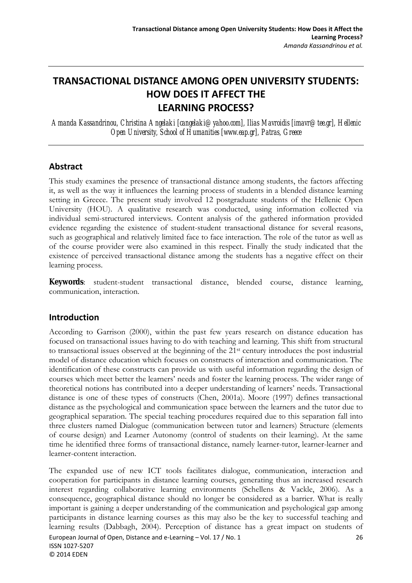# **TRANSACTIONAL DISTANCE AMONG OPEN UNIVERSITY STUDENTS: HOW DOES IT AFFECT THE LEARNING PROCESS?**

*Amanda Kassandrinou, Christina Angelaki [cangelaki@yahoo.com], Ilias Mavroidis [imavr@tee.gr], Hellenic Open University, School of Humanities [www.eap.gr], Patras, Greece* 

### **Abstract**

This study examines the presence of transactional distance among students, the factors affecting it, as well as the way it influences the learning process of students in a blended distance learning setting in Greece. The present study involved 12 postgraduate students of the Hellenic Open University (HOU). A qualitative research was conducted, using information collected via individual semi-structured interviews. Content analysis of the gathered information provided evidence regarding the existence of student-student transactional distance for several reasons, such as geographical and relatively limited face to face interaction. The role of the tutor as well as of the course provider were also examined in this respect. Finally the study indicated that the existence of perceived transactional distance among the students has a negative effect on their learning process.

**Keywords**: student-student transactional distance, blended course, distance learning, communication, interaction.

## **Introduction**

According to Garrison (2000), within the past few years research on distance education has focused on transactional issues having to do with teaching and learning. This shift from structural to transactional issues observed at the beginning of the 21st century introduces the post industrial model of distance education which focuses on constructs of interaction and communication. The identification of these constructs can provide us with useful information regarding the design of courses which meet better the learners' needs and foster the learning process. The wider range of theoretical notions has contributed into a deeper understanding of learners' needs. Transactional distance is one of these types of constructs (Chen, 2001a). Moore (1997) defines transactional distance as the psychological and communication space between the learners and the tutor due to geographical separation. The special teaching procedures required due to this separation fall into three clusters named Dialogue (communication between tutor and learners) Structure (elements of course design) and Learner Autonomy (control of students on their learning). At the same time he identified three forms of transactional distance, namely learner-tutor, learner-learner and learner-content interaction.

European Journal of Open, Distance and e‐Learning – Vol. 17 / No. 1 26 ISSN 1027‐5207 © 2014 EDEN The expanded use of new ICT tools facilitates dialogue, communication, interaction and cooperation for participants in distance learning courses, generating thus an increased research interest regarding collaborative learning environments (Schellens & Vackle, 2006). As a consequence, geographical distance should no longer be considered as a barrier. What is really important is gaining a deeper understanding of the communication and psychological gap among participants in distance learning courses as this may also be the key to successful teaching and learning results (Dabbagh, 2004). Perception of distance has a great impact on students of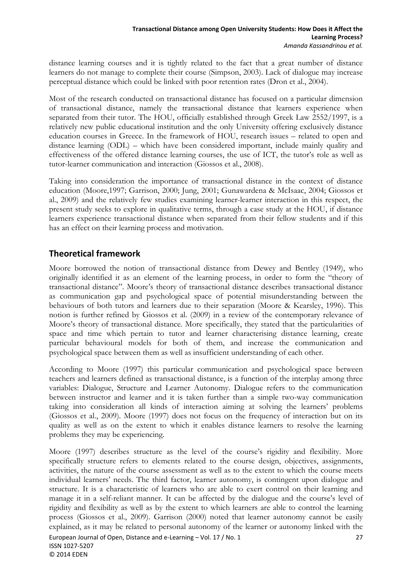distance learning courses and it is tightly related to the fact that a great number of distance learners do not manage to complete their course (Simpson, 2003). Lack of dialogue may increase perceptual distance which could be linked with poor retention rates (Dron et al., 2004).

Most of the research conducted on transactional distance has focused on a particular dimension of transactional distance, namely the transactional distance that learners experience when separated from their tutor. The HOU, officially established through Greek Law 2552/1997, is a relatively new public educational institution and the only University offering exclusively distance education courses in Greece. In the framework of HOU, research issues – related to open and distance learning (ODL) – which have been considered important, include mainly quality and effectiveness of the offered distance learning courses, the use of ICT, the tutor's role as well as tutor-learner communication and interaction (Giossos et al., 2008).

Taking into consideration the importance of transactional distance in the context of distance education (Moore,1997; Garrison, 2000; Jung, 2001; Gunawardena & McIsaac, 2004; Giossos et al., 2009) and the relatively few studies examining learner-learner interaction in this respect, the present study seeks to explore in qualitative terms, through a case study at the HOU, if distance learners experience transactional distance when separated from their fellow students and if this has an effect on their learning process and motivation.

# **Theoretical framework**

Moore borrowed the notion of transactional distance from Dewey and Bentley (1949), who originally identified it as an element of the learning process, in order to form the "theory of transactional distance". Moore's theory of transactional distance describes transactional distance as communication gap and psychological space of potential misunderstanding between the behaviours of both tutors and learners due to their separation (Moore & Kearsley, 1996). This notion is further refined by Giossos et al. (2009) in a review of the contemporary relevance of Moore's theory of transactional distance. More specifically, they stated that the particularities of space and time which pertain to tutor and learner characterising distance learning, create particular behavioural models for both of them, and increase the communication and psychological space between them as well as insufficient understanding of each other.

According to Moore (1997) this particular communication and psychological space between teachers and learners defined as transactional distance, is a function of the interplay among three variables: Dialogue, Structure and Learner Autonomy. Dialogue refers to the communication between instructor and learner and it is taken further than a simple two-way communication taking into consideration all kinds of interaction aiming at solving the learners' problems (Giossos et al., 2009). Moore (1997) does not focus on the frequency of interaction but on its quality as well as on the extent to which it enables distance learners to resolve the learning problems they may be experiencing.

European Journal of Open, Distance and e-Learning – Vol. 17 / No. 1 27 ISSN 1027‐5207 © 2014 EDEN Moore (1997) describes structure as the level of the course's rigidity and flexibility. More specifically structure refers to elements related to the course design, objectives, assignments, activities, the nature of the course assessment as well as to the extent to which the course meets individual learners' needs. The third factor, learner autonomy, is contingent upon dialogue and structure. It is a characteristic of learners who are able to exert control on their learning and manage it in a self-reliant manner. It can be affected by the dialogue and the course's level of rigidity and flexibility as well as by the extent to which learners are able to control the learning process (Giossos et al., 2009). Garrison (2000) noted that learner autonomy cannot be easily explained, as it may be related to personal autonomy of the learner or autonomy linked with the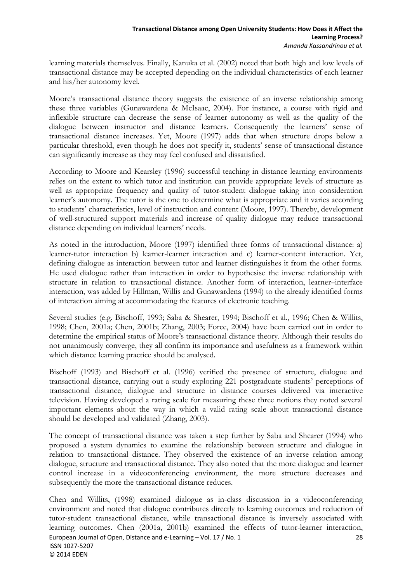learning materials themselves. Finally, Kanuka et al. (2002) noted that both high and low levels of transactional distance may be accepted depending on the individual characteristics of each learner and his/her autonomy level.

Moore's transactional distance theory suggests the existence of an inverse relationship among these three variables (Gunawardena & McIsaac, 2004). For instance, a course with rigid and inflexible structure can decrease the sense of learner autonomy as well as the quality of the dialogue between instructor and distance learners. Consequently the learners' sense of transactional distance increases. Yet, Moore (1997) adds that when structure drops below a particular threshold, even though he does not specify it, students' sense of transactional distance can significantly increase as they may feel confused and dissatisfied.

According to Moore and Kearsley (1996) successful teaching in distance learning environments relies on the extent to which tutor and institution can provide appropriate levels of structure as well as appropriate frequency and quality of tutor-student dialogue taking into consideration learner's autonomy. The tutor is the one to determine what is appropriate and it varies according to students' characteristics, level of instruction and content (Moore, 1997). Thereby, development of well-structured support materials and increase of quality dialogue may reduce transactional distance depending on individual learners' needs.

As noted in the introduction, Moore (1997) identified three forms of transactional distance: a) learner-tutor interaction b) learner-learner interaction and c) learner-content interaction. Yet, defining dialogue as interaction between tutor and learner distinguishes it from the other forms. He used dialogue rather than interaction in order to hypothesise the inverse relationship with structure in relation to transactional distance. Another form of interaction, learner–interface interaction, was added by Hillman, Willis and Gunawardena (1994) to the already identified forms of interaction aiming at accommodating the features of electronic teaching.

Several studies (e.g. Bischoff, 1993; Saba & Shearer, 1994; Bischoff et al., 1996; Chen & Willits, 1998; Chen, 2001a; Chen, 2001b; Zhang, 2003; Force, 2004) have been carried out in order to determine the empirical status of Moore's transactional distance theory. Although their results do not unanimously converge, they all confirm its importance and usefulness as a framework within which distance learning practice should be analysed.

Bischoff (1993) and Bischoff et al. (1996) verified the presence of structure, dialogue and transactional distance, carrying out a study exploring 221 postgraduate students' perceptions of transactional distance, dialogue and structure in distance courses delivered via interactive television. Having developed a rating scale for measuring these three notions they noted several important elements about the way in which a valid rating scale about transactional distance should be developed and validated (Zhang, 2003).

The concept of transactional distance was taken a step further by Saba and Shearer (1994) who proposed a system dynamics to examine the relationship between structure and dialogue in relation to transactional distance. They observed the existence of an inverse relation among dialogue, structure and transactional distance. They also noted that the more dialogue and learner control increase in a videoconferencing environment, the more structure decreases and subsequently the more the transactional distance reduces.

European Journal of Open, Distance and e‐Learning – Vol. 17 / No. 1 28 ISSN 1027‐5207 © 2014 EDEN Chen and Willits, (1998) examined dialogue as in-class discussion in a videoconferencing environment and noted that dialogue contributes directly to learning outcomes and reduction of tutor-student transactional distance, while transactional distance is inversely associated with learning outcomes. Chen (2001a, 2001b) examined the effects of tutor-learner interaction,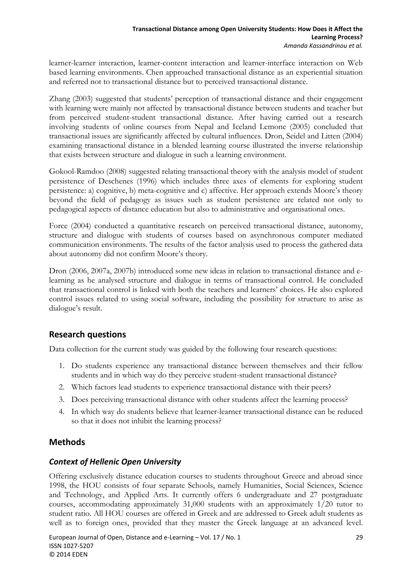learner-learner interaction, learner-content interaction and learner-interface interaction on Web based learning environments. Chen approached transactional distance as an experiential situation and referred not to transactional distance but to perceived transactional distance.

Zhang (2003) suggested that students' perception of transactional distance and their engagement with learning were mainly not affected by transactional distance between students and teacher but from perceived student-student transactional distance. After having carried out a research involving students of online courses from Nepal and Iceland Lemone (2005) concluded that transactional issues are significantly affected by cultural influences. Dron, Seidel and Litten (2004) examining transactional distance in a blended learning course illustrated the inverse relationship that exists between structure and dialogue in such a learning environment.

Gokool-Ramdoo (2008) suggested relating transactional theory with the analysis model of student persistence of Deschenes (1996) which includes three axes of elements for exploring student persistence: a) cognitive, b) meta-cognitive and c) affective. Her approach extends Moore's theory beyond the field of pedagogy as issues such as student persistence are related not only to pedagogical aspects of distance education but also to administrative and organisational ones.

Force (2004) conducted a quantitative research on perceived transactional distance, autonomy, structure and dialogue with students of courses based on asynchronous computer mediated communication environments. The results of the factor analysis used to process the gathered data about autonomy did not confirm Moore's theory.

Dron (2006, 2007a, 2007b) introduced some new ideas in relation to transactional distance and elearning as he analysed structure and dialogue in terms of transactional control. He concluded that transactional control is linked with both the teachers and learners' choices. He also explored control issues related to using social software, including the possibility for structure to arise as dialogue's result.

# **Research questions**

Data collection for the current study was guided by the following four research questions:

- 1. Do students experience any transactional distance between themselves and their fellow students and in which way do they perceive student-student transactional distance?
- 2. Which factors lead students to experience transactional distance with their peers?
- 3. Does perceiving transactional distance with other students affect the learning process?
- 4. In which way do students believe that learner-learner transactional distance can be reduced so that it does not inhibit the learning process?

## **Methods**

## *Context of Hellenic Open University*

Offering exclusively distance education courses to students throughout Greece and abroad since 1998, the HOU consists of four separate Schools, namely Humanities, Social Sciences, Science and Technology, and Applied Arts. It currently offers 6 undergraduate and 27 postgraduate courses, accommodating approximately 31,000 students with an approximately 1/20 tutor to student ratio. All HOU courses are offered in Greek and are addressed to Greek adult students as well as to foreign ones, provided that they master the Greek language at an advanced level.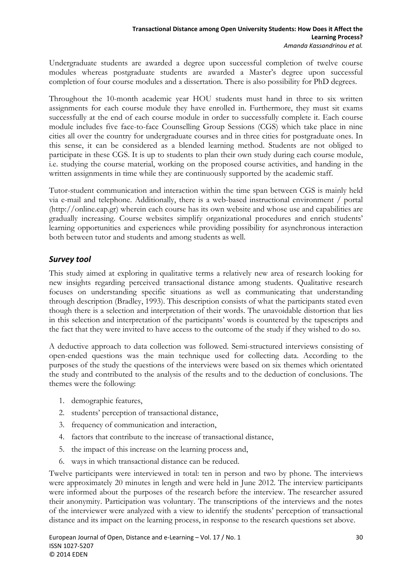Undergraduate students are awarded a degree upon successful completion of twelve course modules whereas postgraduate students are awarded a Master's degree upon successful completion of four course modules and a dissertation. There is also possibility for PhD degrees.

Throughout the 10-month academic year HOU students must hand in three to six written assignments for each course module they have enrolled in. Furthermore, they must sit exams successfully at the end of each course module in order to successfully complete it. Each course module includes five face-to-face Counselling Group Sessions (CGS) which take place in nine cities all over the country for undergraduate courses and in three cities for postgraduate ones. In this sense, it can be considered as a blended learning method. Students are not obliged to participate in these CGS. It is up to students to plan their own study during each course module, i.e. studying the course material, working on the proposed course activities, and handing in the written assignments in time while they are continuously supported by the academic staff.

Tutor-student communication and interaction within the time span between CGS is mainly held via e-mail and telephone. Additionally, there is a web-based instructional environment / portal (http://online.eap.gr) wherein each course has its own website and whose use and capabilities are gradually increasing. Course websites simplify organizational procedures and enrich students' learning opportunities and experiences while providing possibility for asynchronous interaction both between tutor and students and among students as well.

### *Survey tool*

This study aimed at exploring in qualitative terms a relatively new area of research looking for new insights regarding perceived transactional distance among students. Qualitative research focuses on understanding specific situations as well as communicating that understanding through description (Bradley, 1993). This description consists of what the participants stated even though there is a selection and interpretation of their words. The unavoidable distortion that lies in this selection and interpretation of the participants' words is countered by the tapescripts and the fact that they were invited to have access to the outcome of the study if they wished to do so.

A deductive approach to data collection was followed. Semi-structured interviews consisting of open-ended questions was the main technique used for collecting data. According to the purposes of the study the questions of the interviews were based on six themes which orientated the study and contributed to the analysis of the results and to the deduction of conclusions. The themes were the following:

- 1. demographic features,
- 2. students' perception of transactional distance,
- 3. frequency of communication and interaction,
- 4. factors that contribute to the increase of transactional distance,
- 5. the impact of this increase on the learning process and,
- 6. ways in which transactional distance can be reduced.

Twelve participants were interviewed in total: ten in person and two by phone. The interviews were approximately 20 minutes in length and were held in June 2012. The interview participants were informed about the purposes of the research before the interview. The researcher assured their anonymity. Participation was voluntary. The transcriptions of the interviews and the notes of the interviewer were analyzed with a view to identify the students' perception of transactional distance and its impact on the learning process, in response to the research questions set above.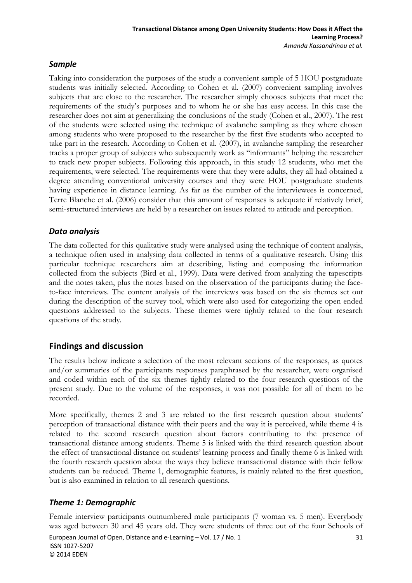#### *Sample*

Taking into consideration the purposes of the study a convenient sample of 5 HOU postgraduate students was initially selected. According to Cohen et al. (2007) convenient sampling involves subjects that are close to the researcher. The researcher simply chooses subjects that meet the requirements of the study's purposes and to whom he or she has easy access. In this case the researcher does not aim at generalizing the conclusions of the study (Cohen et al., 2007). The rest of the students were selected using the technique of avalanche sampling as they where chosen among students who were proposed to the researcher by the first five students who accepted to take part in the research. According to Cohen et al. (2007), in avalanche sampling the researcher tracks a proper group of subjects who subsequently work as "informants" helping the researcher to track new proper subjects. Following this approach, in this study 12 students, who met the requirements, were selected. The requirements were that they were adults, they all had obtained a degree attending conventional university courses and they were HOU postgraduate students having experience in distance learning. As far as the number of the interviewees is concerned, Terre Blanche et al. (2006) consider that this amount of responses is adequate if relatively brief, semi-structured interviews are held by a researcher on issues related to attitude and perception.

## *Data analysis*

The data collected for this qualitative study were analysed using the technique of content analysis, a technique often used in analysing data collected in terms of a qualitative research. Using this particular technique researchers aim at describing, listing and composing the information collected from the subjects (Bird et al., 1999). Data were derived from analyzing the tapescripts and the notes taken, plus the notes based on the observation of the participants during the faceto-face interviews. The content analysis of the interviews was based on the six themes set out during the description of the survey tool, which were also used for categorizing the open ended questions addressed to the subjects. These themes were tightly related to the four research questions of the study.

# **Findings and discussion**

The results below indicate a selection of the most relevant sections of the responses, as quotes and/or summaries of the participants responses paraphrased by the researcher, were organised and coded within each of the six themes tightly related to the four research questions of the present study. Due to the volume of the responses, it was not possible for all of them to be recorded.

More specifically, themes 2 and 3 are related to the first research question about students' perception of transactional distance with their peers and the way it is perceived, while theme 4 is related to the second research question about factors contributing to the presence of transactional distance among students. Theme 5 is linked with the third research question about the effect of transactional distance on students' learning process and finally theme 6 is linked with the fourth research question about the ways they believe transactional distance with their fellow students can be reduced. Theme 1, demographic features, is mainly related to the first question, but is also examined in relation to all research questions.

## *Theme 1: Demographic*

Female interview participants outnumbered male participants (7 woman vs. 5 men). Everybody was aged between 30 and 45 years old. They were students of three out of the four Schools of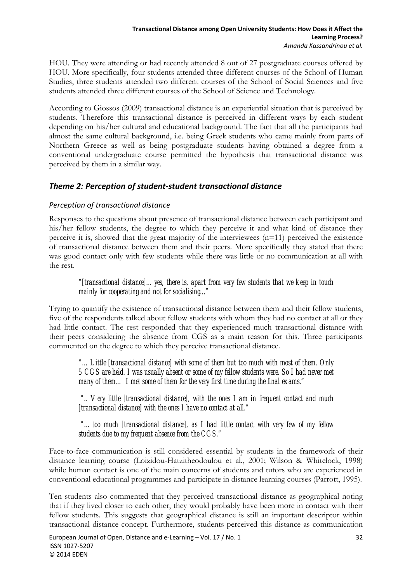HOU. They were attending or had recently attended 8 out of 27 postgraduate courses offered by HOU. More specifically, four students attended three different courses of the School of Human Studies, three students attended two different courses of the School of Social Sciences and five students attended three different courses of the School of Science and Technology.

According to Giossos (2009) transactional distance is an experiential situation that is perceived by students. Therefore this transactional distance is perceived in different ways by each student depending on his/her cultural and educational background. The fact that all the participants had almost the same cultural background, i.e. being Greek students who came mainly from parts of Northern Greece as well as being postgraduate students having obtained a degree from a conventional undergraduate course permitted the hypothesis that transactional distance was perceived by them in a similar way.

### *Theme 2: Perception of student‐student transactional distance*

#### *Perception of transactional distance*

Responses to the questions about presence of transactional distance between each participant and his/her fellow students, the degree to which they perceive it and what kind of distance they perceive it is, showed that the great majority of the interviewees  $(n=11)$  perceived the existence of transactional distance between them and their peers. More specifically they stated that there was good contact only with few students while there was little or no communication at all with the rest.

*"[transactional distance]…yes, there is, apart from very few students that we keep in touch mainly for cooperating and not for socialising..."* 

Trying to quantify the existence of transactional distance between them and their fellow students, five of the respondents talked about fellow students with whom they had no contact at all or they had little contact. The rest responded that they experienced much transactional distance with their peers considering the absence from CGS as a main reason for this. Three participants commented on the degree to which they perceive transactional distance.

*"…Little [transactional distance] with some of them but too much with most of them. Only 5 CGS are held. I was usually absent or some of my fellow students were. So I had never met many of them… I met some of them for the very first time during the final exams."* 

 *".. Very little [transactional distance], with the ones I am in frequent contact and much [transactional distance] with the ones I have no contact at all."* 

 *"…too much [transactional distance], as I had little contact with very few of my fellow students due to my frequent absence from the CGS."* 

Face-to-face communication is still considered essential by students in the framework of their distance learning course (Loizidou-Hatzitheodoulou et al., 2001; Wilson & Whitelock, 1998) while human contact is one of the main concerns of students and tutors who are experienced in conventional educational programmes and participate in distance learning courses (Parrott, 1995).

Ten students also commented that they perceived transactional distance as geographical noting that if they lived closer to each other, they would probably have been more in contact with their fellow students. This suggests that geographical distance is still an important descriptor within transactional distance concept. Furthermore, students perceived this distance as communication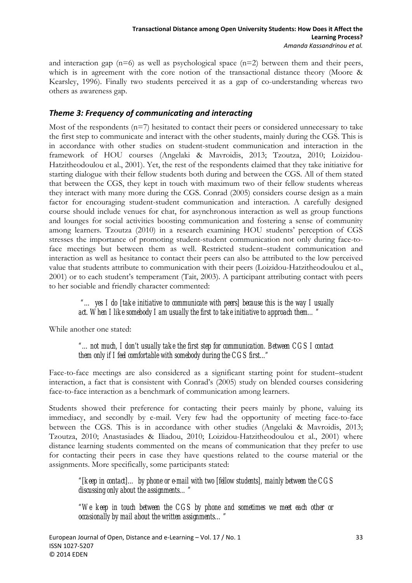and interaction gap  $(n=6)$  as well as psychological space  $(n=2)$  between them and their peers, which is in agreement with the core notion of the transactional distance theory (Moore & Kearsley, 1996). Finally two students perceived it as a gap of co-understanding whereas two others as awareness gap.

#### *Theme 3: Frequency of communicating and interacting*

Most of the respondents (n=7) hesitated to contact their peers or considered unnecessary to take the first step to communicate and interact with the other students, mainly during the CGS. This is in accordance with other studies on student-student communication and interaction in the framework of HOU courses (Angelaki & Mavroidis, 2013; Tzoutza, 2010; Loizidou-Hatzitheodoulou et al., 2001). Yet, the rest of the respondents claimed that they take initiative for starting dialogue with their fellow students both during and between the CGS. All of them stated that between the CGS, they kept in touch with maximum two of their fellow students whereas they interact with many more during the CGS. Conrad (2005) considers course design as a main factor for encouraging student-student communication and interaction. A carefully designed course should include venues for chat, for asynchronous interaction as well as group functions and lounges for social activities boosting communication and fostering a sense of community among learners. Tzoutza (2010) in a research examining HOU students' perception of CGS stresses the importance of promoting student-student communication not only during face-toface meetings but between them as well. Restricted student–student communication and interaction as well as hesitance to contact their peers can also be attributed to the low perceived value that students attribute to communication with their peers (Loizidou-Hatzitheodoulou et al., 2001) or to each student's temperament (Tait, 2003). A participant attributing contact with peers to her sociable and friendly character commented:

 *"… yes I do [take initiative to communicate with peers] because this is the way I usually act. When I like somebody I am usually the first to take initiative to approach them…"* 

While another one stated:

*"…not much, I don't usually take the first step for communication. Between CGS I contact them only if I feel comfortable with somebody during the CGS first..."* 

Face-to-face meetings are also considered as a significant starting point for student–student interaction, a fact that is consistent with Conrad's (2005) study on blended courses considering face-to-face interaction as a benchmark of communication among learners.

Students showed their preference for contacting their peers mainly by phone, valuing its immediacy, and secondly by e-mail. Very few had the opportunity of meeting face-to-face between the CGS. This is in accordance with other studies (Angelaki & Mavroidis, 2013; Tzoutza, 2010; Anastasiades & Iliadou, 2010; Loizidou-Hatzitheodoulou et al., 2001) where distance learning students commented on the means of communication that they prefer to use for contacting their peers in case they have questions related to the course material or the assignments. More specifically, some participants stated:

*"[keep in contact]… by phone or e-mail with two [fellow students], mainly between the CGS discussing only about the assignments…"* 

*"We keep in touch between the CGS by phone and sometimes we meet each other or occasionally by mail about the written assignments…"*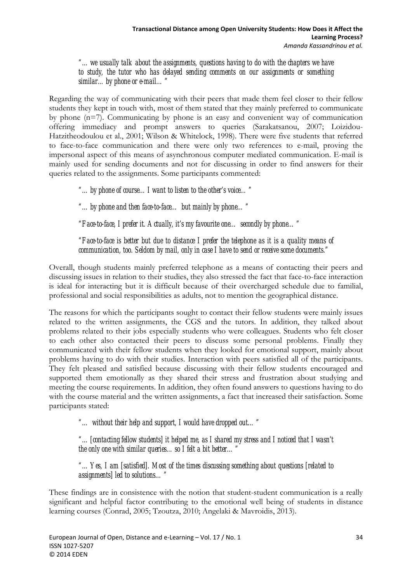*"…we usually talk about the assignments, questions having to do with the chapters we have to study, the tutor who has delayed sending comments on our assignments or something similar…by phone or e-mail…"* 

Regarding the way of communicating with their peers that made them feel closer to their fellow students they kept in touch with, most of them stated that they mainly preferred to communicate by phone (n=7). Communicating by phone is an easy and convenient way of communication offering immediacy and prompt answers to queries (Sarakatsanou, 2007; Loizidou-Hatzitheodoulou et al., 2001; Wilson & Whitelock, 1998). There were five students that referred to face-to-face communication and there were only two references to e-mail, proving the impersonal aspect of this means of asynchronous computer mediated communication. E-mail is mainly used for sending documents and not for discussing in order to find answers for their queries related to the assignments. Some participants commented:

*"…by phone of course…I want to listen to the other's voice…"* 

*"…by phone and then face-to-face… but mainly by phone…"* 

*"Face-to-face, I prefer it. Actually, it's my favourite one… secondly by phone…"* 

*"Face-to-face is better but due to distance I prefer the telephone as it is a quality means of communication, too. Seldom by mail, only in case I have to send or receive some documents."* 

Overall, though students mainly preferred telephone as a means of contacting their peers and discussing issues in relation to their studies, they also stressed the fact that face-to-face interaction is ideal for interacting but it is difficult because of their overcharged schedule due to familial, professional and social responsibilities as adults, not to mention the geographical distance.

The reasons for which the participants sought to contact their fellow students were mainly issues related to the written assignments, the CGS and the tutors. In addition, they talked about problems related to their jobs especially students who were colleagues. Students who felt closer to each other also contacted their peers to discuss some personal problems. Finally they communicated with their fellow students when they looked for emotional support, mainly about problems having to do with their studies. Interaction with peers satisfied all of the participants. They felt pleased and satisfied because discussing with their fellow students encouraged and supported them emotionally as they shared their stress and frustration about studying and meeting the course requirements. In addition, they often found answers to questions having to do with the course material and the written assignments, a fact that increased their satisfaction. Some participants stated:

*"… without their help and support, I would have dropped out…"* 

*"…[contacting fellow students] it helped me, as I shared my stress and I noticed that I wasn't the only one with similar queries…so I felt a bit better…"* 

*"…Yes, I am [satisfied]. Most of the times discussing something about questions [related to assignments] led to solutions…"* 

These findings are in consistence with the notion that student-student communication is a really significant and helpful factor contributing to the emotional well being of students in distance learning courses (Conrad, 2005; Tzoutza, 2010; Angelaki & Mavroidis, 2013).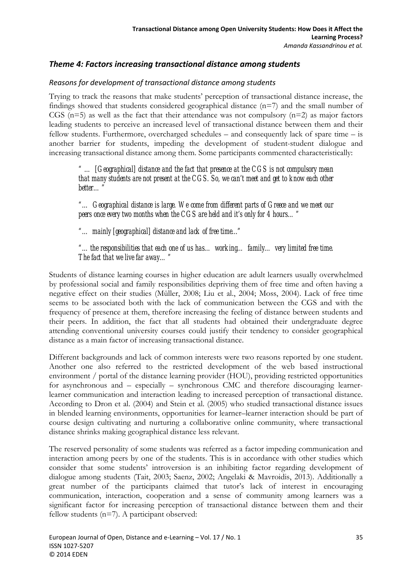#### *Theme 4: Factors increasing transactional distance among students*

#### *Reasons for development of transactional distance among students*

Trying to track the reasons that make students' perception of transactional distance increase, the findings showed that students considered geographical distance  $(n=7)$  and the small number of CGS ( $n=5$ ) as well as the fact that their attendance was not compulsory ( $n=2$ ) as major factors leading students to perceive an increased level of transactional distance between them and their fellow students. Furthermore, overcharged schedules – and consequently lack of spare time – is another barrier for students, impeding the development of student-student dialogue and increasing transactional distance among them. Some participants commented characteristically:

*" … [Geographical] distance and the fact that presence at the CGS is not compulsory mean that many students are not present at the CGS. So, we can't meet and get to know each other better…"* 

*"… Geographical distance is large. We come from different parts of Greece and we meet our peers once every two months when the CGS are held and it's only for 4 hours…"* 

*"… mainly [geographical] distance and lack of free time..."* 

*"…the responsibilities that each one of us has… working… family… very limited free time. The fact that we live far away…"* 

Students of distance learning courses in higher education are adult learners usually overwhelmed by professional social and family responsibilities depriving them of free time and often having a negative effect on their studies (Μüller, 2008; Liu et al., 2004; Moss, 2004). Lack of free time seems to be associated both with the lack of communication between the CGS and with the frequency of presence at them, therefore increasing the feeling of distance between students and their peers. In addition, the fact that all students had obtained their undergraduate degree attending conventional university courses could justify their tendency to consider geographical distance as a main factor of increasing transactional distance.

Different backgrounds and lack of common interests were two reasons reported by one student. Another one also referred to the restricted development of the web based instructional environment / portal of the distance learning provider (HOU), providing restricted opportunities for asynchronous and – especially – synchronous CMC and therefore discouraging learnerlearner communication and interaction leading to increased perception of transactional distance. According to Dron et al. (2004) and Stein et al. (2005) who studied transactional distance issues in blended learning environments, opportunities for learner–learner interaction should be part of course design cultivating and nurturing a collaborative online community, where transactional distance shrinks making geographical distance less relevant.

The reserved personality of some students was referred as a factor impeding communication and interaction among peers by one of the students. This is in accordance with other studies which consider that some students' introversion is an inhibiting factor regarding development of dialogue among students (Tait, 2003; Saenz, 2002; Angelaki & Mavroidis, 2013). Additionally a great number of the participants claimed that tutor's lack of interest in encouraging communication, interaction, cooperation and a sense of community among learners was a significant factor for increasing perception of transactional distance between them and their fellow students (n=7). A participant observed: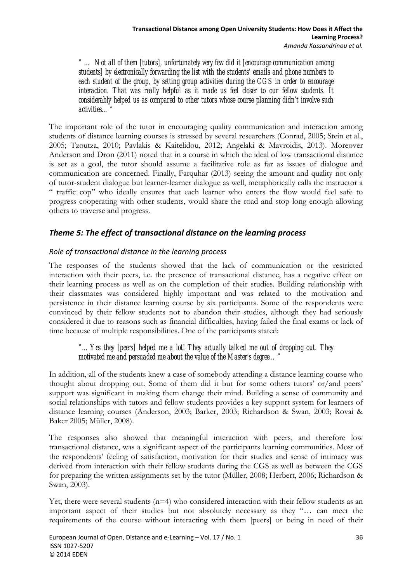*" … Not all of them [tutors], unfortunately very few did it [encourage communication among students] by electronically forwarding the list with the students' emails and phone numbers to each student of the group, by setting group activities during the CGS in order to encourage interaction. That was really helpful as it made us feel closer to our fellow students. It considerably helped us as compared to other tutors whose course planning didn't involve such activities…"* 

The important role of the tutor in encouraging quality communication and interaction among students of distance learning courses is stressed by several researchers (Conrad, 2005; Stein et al., 2005; Tzoutza, 2010; Pavlakis & Kaitelidou, 2012; Angelaki & Mavroidis, 2013). Moreover Anderson and Dron (2011) noted that in a course in which the ideal of low transactional distance is set as a goal, the tutor should assume a facilitative role as far as issues of dialogue and communication are concerned. Finally, Farquhar (2013) seeing the amount and quality not only of tutor-student dialogue but learner-learner dialogue as well, metaphorically calls the instructor a " traffic cop" who ideally ensures that each learner who enters the flow would feel safe to progress cooperating with other students, would share the road and stop long enough allowing others to traverse and progress.

# *Theme 5: The effect of transactional distance on the learning process*

#### *Role of transactional distance in the learning process*

The responses of the students showed that the lack of communication or the restricted interaction with their peers, i.e. the presence of transactional distance, has a negative effect on their learning process as well as on the completion of their studies. Building relationship with their classmates was considered highly important and was related to the motivation and persistence in their distance learning course by six participants. Some of the respondents were convinced by their fellow students not to abandon their studies, although they had seriously considered it due to reasons such as financial difficulties, having failed the final exams or lack of time because of multiple responsibilities. One of the participants stated:

*"…Yes they [peers] helped me a lot! They actually talked me out of dropping out. They motivated me and persuaded me about the value of the Master's degree…"* 

In addition, all of the students knew a case of somebody attending a distance learning course who thought about dropping out. Some of them did it but for some others tutors' or/and peers' support was significant in making them change their mind. Building a sense of community and social relationships with tutors and fellow students provides a key support system for learners of distance learning courses (Anderson, 2003; Barker, 2003; Richardson & Swan, 2003; Rovai & Baker 2005; Μüller, 2008).

The responses also showed that meaningful interaction with peers, and therefore low transactional distance, was a significant aspect of the participants learning communities. Most of the respondents' feeling of satisfaction, motivation for their studies and sense of intimacy was derived from interaction with their fellow students during the CGS as well as between the CGS for preparing the written assignments set by the tutor (Μüller, 2008; Herbert, 2006; Richardson & Swan, 2003).

Yet, there were several students  $(n=4)$  who considered interaction with their fellow students as an important aspect of their studies but not absolutely necessary as they "… can meet the requirements of the course without interacting with them [peers] or being in need of their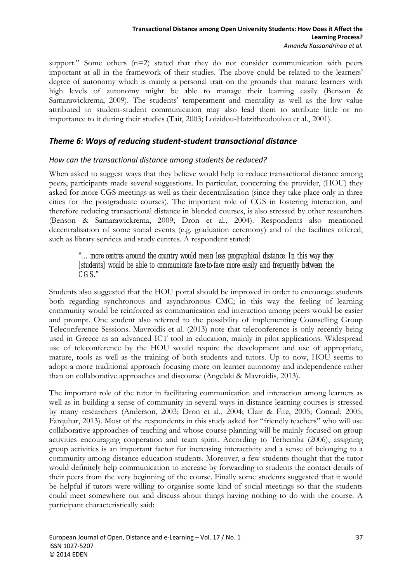support." Some others (n=2) stated that they do not consider communication with peers important at all in the framework of their studies. The above could be related to the learners' degree of autonomy which is mainly a personal trait on the grounds that mature learners with high levels of autonomy might be able to manage their learning easily (Benson & Samarawickrema, 2009). The students' temperament and mentality as well as the low value attributed to student-student communication may also lead them to attribute little or no importance to it during their studies (Tait, 2003; Loizidou-Hatzitheodoulou et al., 2001).

#### *Theme 6: Ways of reducing student‐student transactional distance*

#### *How can the transactional distance among students be reduced?*

When asked to suggest ways that they believe would help to reduce transactional distance among peers, participants made several suggestions. In particular, concerning the provider, (HOU) they asked for more CGS meetings as well as their decentralisation (since they take place only in three cities for the postgraduate courses). The important role of CGS in fostering interaction, and therefore reducing transactional distance in blended courses, is also stressed by other researchers (Benson & Samarawickrema, 2009; Dron et al., 2004). Respondents also mentioned decentralisation of some social events (e.g. graduation ceremony) and of the facilities offered, such as library services and study centres. A respondent stated:

*"…more centres around the country would mean less geographical distance. In this way they [students] would be able to communicate face-to-face more easily and frequently between the CGS."* 

Students also suggested that the HOU portal should be improved in order to encourage students both regarding synchronous and asynchronous CMC; in this way the feeling of learning community would be reinforced as communication and interaction among peers would be easier and prompt. One student also referred to the possibility of implementing Counselling Group Teleconference Sessions. Mavroidis et al. (2013) note that teleconference is only recently being used in Greece as an advanced ICT tool in education, mainly in pilot applications. Widespread use of teleconference by the HOU would require the development and use of appropriate, mature, tools as well as the training of both students and tutors. Up to now, HOU seems to adopt a more traditional approach focusing more on learner autonomy and independence rather than on collaborative approaches and discourse (Angelaki & Mavroidis, 2013).

The important role of the tutor in facilitating communication and interaction among learners as well as in building a sense of community in several ways in distance learning courses is stressed by many researchers (Anderson, 2003; Dron et al., 2004; Clair & Fite, 2005; Conrad, 2005; Farquhar, 2013). Most of the respondents in this study asked for "friendly teachers" who will use collaborative approaches of teaching and whose course planning will be mainly focused on group activities encouraging cooperation and team spirit. According to Terhemba (2006), assigning group activities is an important factor for increasing interactivity and a sense of belonging to a community among distance education students. Moreover, a few students thought that the tutor would definitely help communication to increase by forwarding to students the contact details of their peers from the very beginning of the course. Finally some students suggested that it would be helpful if tutors were willing to organise some kind of social meetings so that the students could meet somewhere out and discuss about things having nothing to do with the course. A participant characteristically said: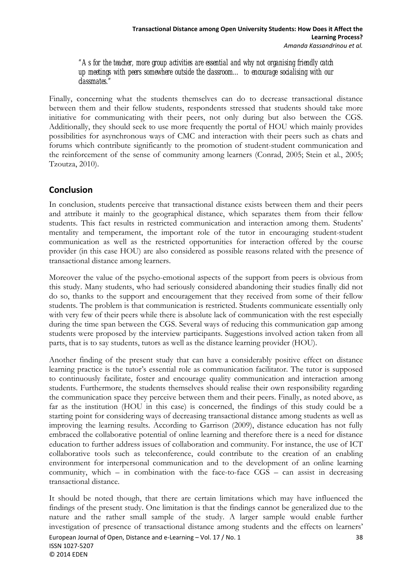*"As for the teacher, more group activities are essential and why not organising friendly catch up meetings with peers somewhere outside the classroom… to encourage socialising with our classmates."* 

Finally, concerning what the students themselves can do to decrease transactional distance between them and their fellow students, respondents stressed that students should take more initiative for communicating with their peers, not only during but also between the CGS. Additionally, they should seek to use more frequently the portal of HOU which mainly provides possibilities for asynchronous ways of CMC and interaction with their peers such as chats and forums which contribute significantly to the promotion of student-student communication and the reinforcement of the sense of community among learners (Conrad, 2005; Stein et al., 2005; Tzoutza, 2010).

# **Conclusion**

In conclusion, students perceive that transactional distance exists between them and their peers and attribute it mainly to the geographical distance, which separates them from their fellow students. This fact results in restricted communication and interaction among them. Students' mentality and temperament, the important role of the tutor in encouraging student-student communication as well as the restricted opportunities for interaction offered by the course provider (in this case HOU) are also considered as possible reasons related with the presence of transactional distance among learners.

Moreover the value of the psycho-emotional aspects of the support from peers is obvious from this study. Many students, who had seriously considered abandoning their studies finally did not do so, thanks to the support and encouragement that they received from some of their fellow students. The problem is that communication is restricted. Students communicate essentially only with very few of their peers while there is absolute lack of communication with the rest especially during the time span between the CGS. Several ways of reducing this communication gap among students were proposed by the interview participants. Suggestions involved action taken from all parts, that is to say students, tutors as well as the distance learning provider (HOU).

Another finding of the present study that can have a considerably positive effect on distance learning practice is the tutor's essential role as communication facilitator. The tutor is supposed to continuously facilitate, foster and encourage quality communication and interaction among students. Furthermore, the students themselves should realise their own responsibility regarding the communication space they perceive between them and their peers. Finally, as noted above, as far as the institution (HOU in this case) is concerned, the findings of this study could be a starting point for considering ways of decreasing transactional distance among students as well as improving the learning results. According to Garrison (2009), distance education has not fully embraced the collaborative potential of online learning and therefore there is a need for distance education to further address issues of collaboration and community. For instance, the use of ICT collaborative tools such as teleconference, could contribute to the creation of an enabling environment for interpersonal communication and to the development of an online learning community, which – in combination with the face-to-face CGS – can assist in decreasing transactional distance.

European Journal of Open, Distance and e‐Learning – Vol. 17 / No. 1 38 It should be noted though, that there are certain limitations which may have influenced the findings of the present study. One limitation is that the findings cannot be generalized due to the nature and the rather small sample of the study. A larger sample would enable further investigation of presence of transactional distance among students and the effects on learners'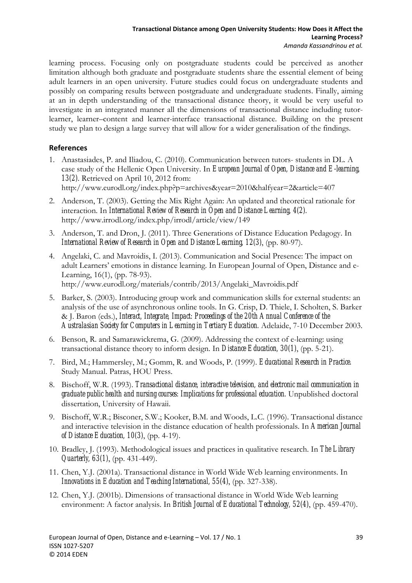learning process. Focusing only on postgraduate students could be perceived as another limitation although both graduate and postgraduate students share the essential element of being adult learners in an open university. Future studies could focus on undergraduate students and possibly on comparing results between postgraduate and undergraduate students. Finally, aiming at an in depth understanding of the transactional distance theory, it would be very useful to investigate in an integrated manner all the dimensions of transactional distance including tutorlearner, learner–content and learner-interface transactional distance. Building on the present study we plan to design a large survey that will allow for a wider generalisation of the findings.

#### **References**

- 1. Anastasiades, P. and Iliadou, C. (2010). Communication between tutors- students in DL. A case study of the Hellenic Open University. In *European Journal of Open, Distance and E-learning, 13(2)*. Retrieved on April 10, 2012 from: http://www.eurodl.org/index.php?p=archives&year=2010&halfyear=2&article=407
- 2. Anderson, T. (2003). Getting the Mix Right Again: An updated and theoretical rationale for interaction. In *International Review of Research in Open and Distance Learning, 4(2).* http://www.irrodl.org/index.php/irrodl/article/view/149
- 3. Anderson, T. and Dron, J. (2011). Three Generations of Distance Education Pedagogy. In *International Review of Research in Open and Distance Learning, 12(3)*, (pp. 80-97).
- 4. Angelaki, C. and Mavroidis, I. (2013). Communication and Social Presence: The impact on adult Learners' emotions in distance learning. In European Journal of Open, Distance and e-Learning, 16(1), (pp. 78-93). http://www.eurodl.org/materials/contrib/2013/Angelaki\_Mavroidis.pdf
- 5. Barker, S. (2003). Introducing group work and communication skills for external students: an analysis of the use of asynchronous online tools. In G. Crisp, D. Thiele, I. Scholten, S. Barker & J. Baron (eds.), *Interact, Integrate, Impact: Proceedings of the 20th Annual Conference of the Australasian Society for Computers in Learning in Tertiary Education.* Adelaide, 7-10 December 2003.
- 6. Benson, R. and Samarawickrema, G. (2009). Addressing the context of e-learning: using transactional distance theory to inform design. In *Distance Education, 30(1)*, (pp. 5-21).
- 7. Bird, M.; Hammersley, M.; Gomm, R. and Woods, P. (1999). *Educational Research in Practice.* Study Manual. Patras, HOU Press.
- 8. Bischoff, W.R. (1993). *Transactional distance, interactive television, and electronic mail communication in graduate public health and nursing courses: Implications for professional education.* Unpublished doctoral dissertation, University of Hawaii.
- 9. Bischoff, W.R.; Bisconer, S.W.; Kooker, B.M. and Woods, L.C. (1996). Transactional distance and interactive television in the distance education of health professionals. In *American Journal of Distance Education, 10(3)*, (pp. 4-19).
- 10. Bradley, J. (1993). Methodological issues and practices in qualitative research. In *The Library Quarterly, 63(1)*, (pp. 431-449).
- 11. Chen, Y.J. (2001a). Transactional distance in World Wide Web learning environments. In *Innovations in Education and Teaching International, 55(4)*, (pp. 327-338).
- 12. Chen, Y.J. (2001b). Dimensions of transactional distance in World Wide Web learning environment: A factor analysis. In *British Journal of Educational Technology, 52(4)*, (pp. 459-470).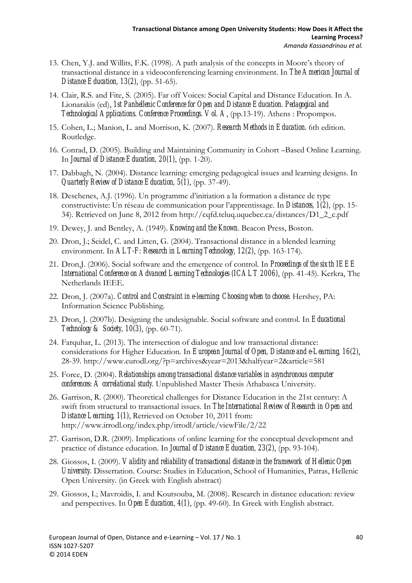- 13. Chen, Y.J. and Willits, F.K. (1998). A path analysis of the concepts in Moore's theory of transactional distance in a videoconferencing learning environment. In *The American Journal of Distance Education, 13(2)*, (pp. 51-65).
- 14. Clair, R.S. and Fite, S. (2005). Far off Voices: Social Capital and Distance Education. In A. Lionarakis (ed), *1st Panhellenic Conference for Open and Distance Education. Pedagogical and Technological Applications. Conference Proceedings. Vol. A*, (pp.13-19). Athens : Propompos.
- 15. Cohen, L.; Manion, L. and Morrison, K. (2007). *Research Methods in Education.* 6th edition. Routledge.
- 16. Conrad, D. (2005). Building and Maintaining Community in Cohort –Based Online Learning. In *Journal of Distance Education, 20(1)*, (pp. 1-20).
- 17. Dabbagh, N. (2004). Distance learning: emerging pedagogical issues and learning designs. In *Quarterly Review of Distance Education, 5(1)*, (pp. 37-49).
- 18. Deschenes, A.J. (1996). Un programme d'initiation a la formation a distance de type constructiviste: Un réseau de communication pour l'apprentissage. In *Distances, 1(2)*, (pp. 15- 34). Retrieved on June 8, 2012 from http://cqfd.teluq.uquebec.ca/distances/D1\_2\_c.pdf
- 19. Dewey, J. and Bentley, A. (1949). *Knowing and the Known.* Beacon Press, Boston.
- 20. Dron, J.; Seidel, C. and Litten, G. (2004). Transactional distance in a blended learning environment. In *ALT-F: Research in Learning Technology, 12(2)*, (pp. 163-174).
- 21. Dron,J. (2006). Social software and the emergence of control. In *Proceedings of the sixth IEEE International Conference on Advanced Learning Technologies (ICALT 2006)*, (pp. 41-45). Kerkra, The Netherlands IEEE.
- 22. Dron, J. (2007a). *Control and Constraint in e-learning: Choosing when to choose.* Hershey, PA: Information Science Publishing.
- 23. Dron, J. (2007b). Designing the undesignable. Social software and control. In *Educational Technology & Society, 10(3)*, (pp. 60-71).
- 24. Farquhar, L. (2013). The intersection of dialogue and low transactional distance: considerations for Higher Education. In *European Journal of Open, Distance and e-Learning, 16(2)*, 28-39. http://www.eurodl.org/?p=archives&year=2013&halfyear=2&article=581
- 25. Force, D. (2004). *Relationships among transactional distance variables in asynchronous computer conferences: A correlational study.* Unpublished Master Thesis Athabasca University.
- 26. Garrison, R. (2000). Theoretical challenges for Distance Education in the 21st century: A swift from structural to transactional issues. In *The International Review of Research in Open and Distance Learning, 1(1)*, Retrieved on October 10, 2011 from: http://www.irrodl.org/index.php/irrodl/article/viewFile/2/22
- 27. Garrison, D.R. (2009). Implications of online learning for the conceptual development and practice of distance education. In *Journal of Distance Education, 23(2)*, (pp. 93-104).
- 28. Giossos, I. (2009). *Validity and reliability of transactional distance in the framework of Hellenic Open University.* Dissertation. Course: Studies in Education, School of Humanities, Patras, Hellenic Open University. (in Greek with English abstract)
- 29. Giossos, I.; Mavroidis, I. and Koutsouba, M. (2008). Research in distance education: review and perspectives. In *Open Education, 4(1)*, (pp. 49-60). In Greek with English abstract.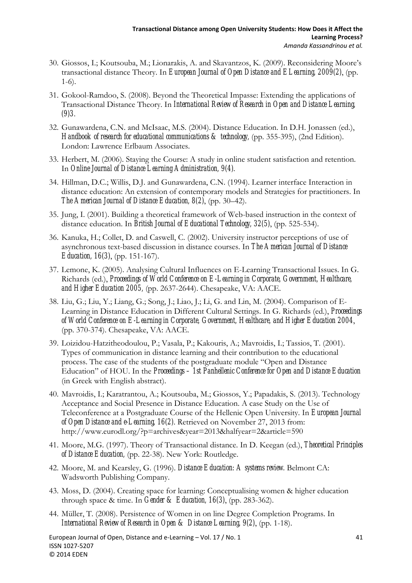- 30. Giossos, I.; Koutsouba, M.; Lionarakis, A. and Skavantzos, K. (2009). Reconsidering Moore's transactional distance Theory. In *European Journal of Open Distance and ELearning, 2009(2)*, (pp. 1-6).
- 31. Gokool-Ramdoo, S. (2008). Beyond the Theoretical Impasse: Extending the applications of Transactional Distance Theory. In *International Review of Research in Open and Distance Learning, (9)3*.
- 32. Gunawardena, C.N. and McIsaac, M.S. (2004). Distance Education. In D.H. Jonassen (ed.), *Handbook of research for educational communications & technology,* (pp. 355-395), (2nd Edition). London: Lawrence Erlbaum Associates.
- 33. Herbert, M. (2006). Staying the Course: A study in online student satisfaction and retention. In *Online Journal of Distance Learning Administration, 9(4)*.
- 34. Hillman, D.C.; Willis, D.J. and Gunawardena, C.N. (1994). Learner interface Interaction in distance education: An extension of contemporary models and Strategies for practitioners. In *The American Journal of Distance Education, 8(2)*, (pp. 30–42).
- 35. Jung, I. (2001). Building a theoretical framework of Web-based instruction in the context of distance education. In *British Journal of Educational Technology, 32(5)*, (pp. 525-534).
- 36. Kanuka, H.; Collet, D. and Caswell, C. (2002). University instructor perceptions of use of asynchronous text-based discussion in distance courses. In *The American Journal of Distance Education, 16(3)*, (pp. 151-167).
- 37. Lemone, K. (2005). Analysing Cultural Influences on E-Learning Transactional Issues. In G. Richards (ed.), *Proceedings of World Conference on E-Learning in Corporate, Government, Healthcare, and Higher Education 2005,* (pp. 2637-2644). Chesapeake, VA: AACE.
- 38. Liu, G.; Liu, Y.; Liang, G.; Song, J.; Liao, J.; Li, G. and Lin, M. (2004). Comparison of E-Learning in Distance Education in Different Cultural Settings. In G. Richards (ed.), *Proceedings of World Conference on E-Learning in Corporate, Government, Healthcare, and Higher Education 2004*, (pp. 370-374). Chesapeake, VA: AACE.
- 39. Loizidou-Hatzitheodoulou, P.; Vasala, P.; Kakouris, Α.; Mavroidis, I.; Tassios, T. (2001). Types of communication in distance learning and their contribution to the educational process. The case of the students of the postgraduate module "Open and Distance Education" of HOU. In the *Proceedings – 1st Panhellenic Conference for Open and Distance Education* (in Greek with English abstract).
- 40. Mavroidis, I.; Karatrantou, A.; Koutsouba, M.; Giossos, Y.; Papadakis, S. (2013). Technology Acceptance and Social Presence in Distance Education. A case Study on the Use of Teleconference at a Postgraduate Course of the Hellenic Open University. In *European Journal of Open Distance and e-Learning, 16(2)*. Retrieved on November 27, 2013 from: http://www.eurodl.org/?p=archives&year=2013&halfyear=2&article=590
- 41. Moore, M.G. (1997). Theory of Transactional distance. In D. Keegan (ed.), *Theoretical Principles of Distance Education,* (pp. 22-38). New York: Routledge.
- 42. Moore, M. and Kearsley, G. (1996). *Distance Education: A systems review.* Belmont CA: Wadsworth Publishing Company.
- 43. Moss, D. (2004). Creating space for learning: Conceptualising women & higher education through space & time. In *Gender & Education, 16(3)*, (pp. 283-362).
- 44. Μüller, T. (2008). Persistence of Women in on line Degree Completion Programs. In *International Review of Research in Open & Distance Learning, 9(2)*, (pp. 1-18).